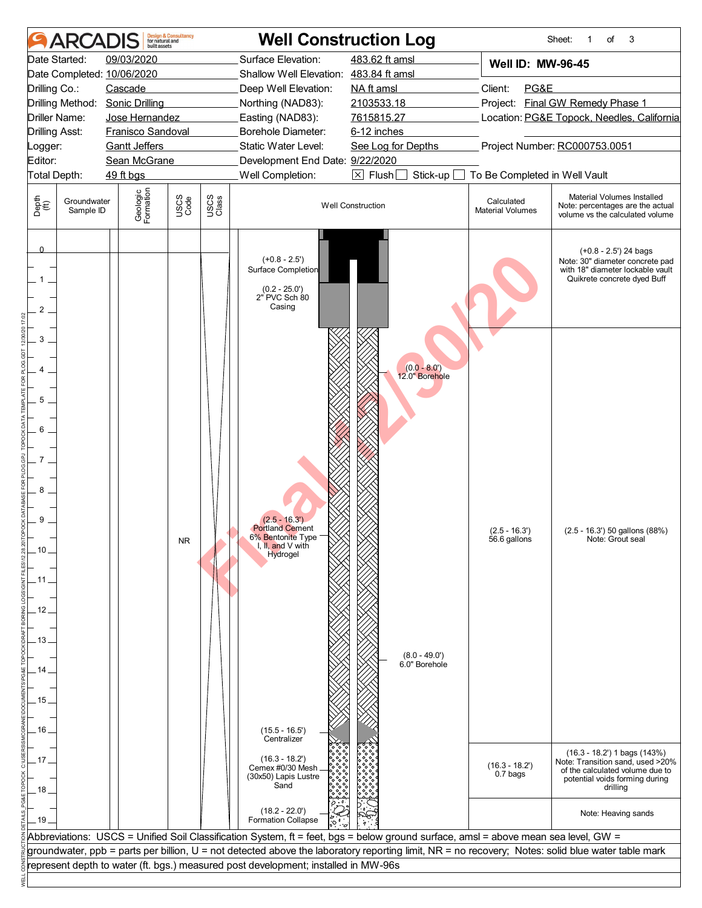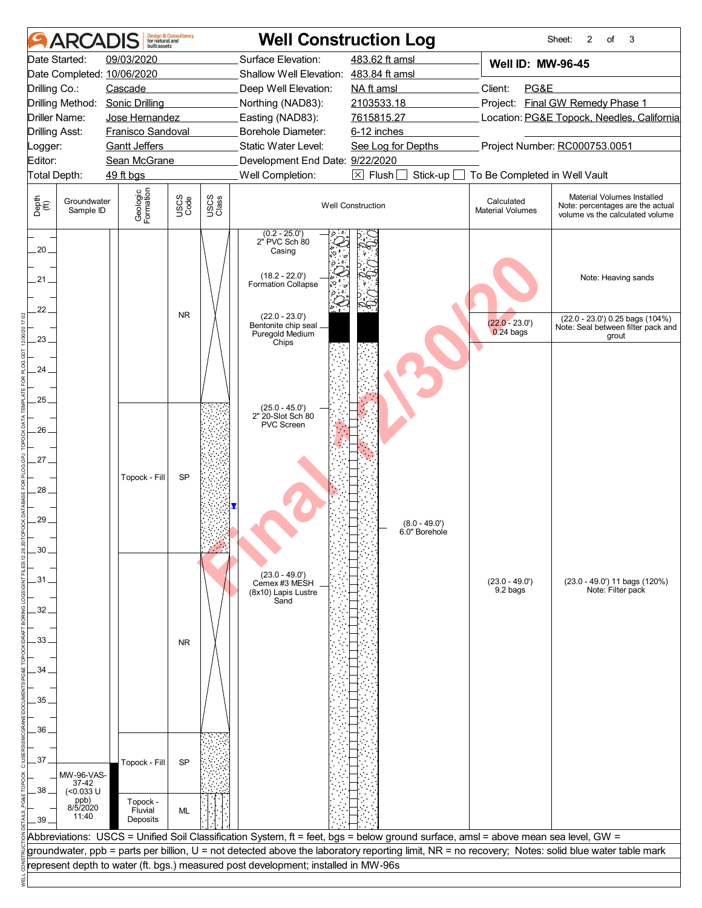|                                 |                             | built assets                         | <b>Design &amp; Consultancy</b><br>for natural and |                      |                                                                                                                                    | <b>Well Construction Log</b>               |                                       | 2<br>of<br>3<br>Sheet:                                                                                                                            |  |
|---------------------------------|-----------------------------|--------------------------------------|----------------------------------------------------|----------------------|------------------------------------------------------------------------------------------------------------------------------------|--------------------------------------------|---------------------------------------|---------------------------------------------------------------------------------------------------------------------------------------------------|--|
|                                 | Date Started:               | 09/03/2020                           |                                                    |                      | Surface Elevation:                                                                                                                 | 483.62 ft amsl                             | <b>Well ID: MW-96-45</b>              |                                                                                                                                                   |  |
|                                 |                             | Date Completed: 10/06/2020           |                                                    |                      | Shallow Well Elevation: 483.84 ft amsl                                                                                             |                                            |                                       |                                                                                                                                                   |  |
| Cascade<br>Drilling Co.:        |                             |                                      |                                                    | Deep Well Elevation: | NA ft amsl                                                                                                                         | Client:<br>PG&E                            |                                       |                                                                                                                                                   |  |
| Drilling Method: Sonic Drilling |                             |                                      | Northing (NAD83):                                  | 2103533.18           | Project: Final GW Remedy Phase 1                                                                                                   |                                            |                                       |                                                                                                                                                   |  |
| Driller Name:<br>Jose Hernandez |                             |                                      |                                                    | Easting (NAD83):     | 7615815.27                                                                                                                         | Location: PG&E Topock, Needles, California |                                       |                                                                                                                                                   |  |
| <b>Drilling Asst:</b>           |                             | Franisco Sandoval                    |                                                    |                      | Borehole Diameter:<br>Static Water Level:                                                                                          | 6-12 inches                                |                                       |                                                                                                                                                   |  |
| Logger:<br>Editor:              |                             | <b>Gantt Jeffers</b><br>Sean McGrane |                                                    |                      | Development End Date: 9/22/2020                                                                                                    | See Log for Depths                         |                                       | Project Number: RC000753.0051                                                                                                                     |  |
|                                 | Total Depth:                | 49 ft bgs                            |                                                    |                      | Well Completion:                                                                                                                   | $\boxtimes$ Flush $\Box$<br>Stick-up       | To Be Completed in Well Vault         |                                                                                                                                                   |  |
|                                 |                             |                                      |                                                    | USCS<br>Class        |                                                                                                                                    |                                            |                                       |                                                                                                                                                   |  |
| Depth<br>(ff)                   | Groundwater<br>Sample ID    | Geologic<br>Formation                | USCS<br>Code                                       |                      |                                                                                                                                    | <b>Well Construction</b>                   | Calculated<br><b>Material Volumes</b> | Material Volumes Installed<br>Note: percentages are the actual<br>volume vs the calculated volume                                                 |  |
| 20.                             |                             |                                      |                                                    |                      | $(0.2 - 25.0')$<br>2" PVC Sch 80<br>Casing                                                                                         |                                            |                                       |                                                                                                                                                   |  |
| $21 -$                          |                             |                                      |                                                    |                      | $(18.2 - 22.0')$<br>Formation Collapse                                                                                             |                                            |                                       | Note: Heaving sands                                                                                                                               |  |
| $22 -$                          |                             |                                      | <b>NR</b>                                          |                      | $(22.0 - 23.0')$<br>Bentonite chip seal .<br>Puregold Medium                                                                       |                                            | $(22.0 - 23.0')$<br>$0.24$ bags       | (22.0 - 23.0') 0.25 bags (104%)<br>Note: Seal between filter pack and                                                                             |  |
| 23.                             |                             |                                      |                                                    |                      | Chips                                                                                                                              |                                            |                                       | grout                                                                                                                                             |  |
| 24                              |                             |                                      |                                                    |                      |                                                                                                                                    |                                            |                                       |                                                                                                                                                   |  |
|                                 |                             |                                      |                                                    |                      |                                                                                                                                    |                                            |                                       |                                                                                                                                                   |  |
| 25.                             |                             |                                      |                                                    |                      |                                                                                                                                    |                                            |                                       |                                                                                                                                                   |  |
|                                 |                             |                                      |                                                    |                      | $(25.0 - 45.0')$<br>2" 20-Slot Sch 80                                                                                              |                                            |                                       |                                                                                                                                                   |  |
| 26                              |                             |                                      |                                                    |                      | <b>PVC Screen</b>                                                                                                                  |                                            |                                       |                                                                                                                                                   |  |
|                                 |                             |                                      |                                                    |                      |                                                                                                                                    |                                            |                                       |                                                                                                                                                   |  |
| $27-$                           |                             |                                      |                                                    |                      |                                                                                                                                    |                                            |                                       |                                                                                                                                                   |  |
|                                 |                             | Topock - Fill                        | SP                                                 |                      |                                                                                                                                    |                                            |                                       |                                                                                                                                                   |  |
| 28.                             |                             |                                      |                                                    |                      |                                                                                                                                    |                                            |                                       |                                                                                                                                                   |  |
|                                 |                             |                                      |                                                    |                      |                                                                                                                                    |                                            |                                       |                                                                                                                                                   |  |
| 29                              |                             |                                      |                                                    |                      |                                                                                                                                    | $(8.0 - 49.0')$<br>6.0" Borehole           |                                       |                                                                                                                                                   |  |
| 30                              |                             |                                      |                                                    |                      |                                                                                                                                    |                                            |                                       |                                                                                                                                                   |  |
|                                 |                             |                                      |                                                    |                      |                                                                                                                                    |                                            |                                       |                                                                                                                                                   |  |
| .31.                            |                             |                                      |                                                    |                      | $(23.0 - 49.0')$<br>Cemex #3 MESH                                                                                                  |                                            | $(23.0 - 49.0')$                      | (23.0 - 49.0') 11 bags (120%)                                                                                                                     |  |
|                                 |                             |                                      |                                                    |                      | (8x10) Lapis Lustre                                                                                                                |                                            | 9.2 bags                              | Note: Filter pack                                                                                                                                 |  |
| 32                              |                             |                                      |                                                    |                      | Sand                                                                                                                               |                                            |                                       |                                                                                                                                                   |  |
|                                 |                             |                                      |                                                    |                      |                                                                                                                                    |                                            |                                       |                                                                                                                                                   |  |
| 33.                             |                             |                                      | <b>NR</b>                                          |                      |                                                                                                                                    |                                            |                                       |                                                                                                                                                   |  |
|                                 |                             |                                      |                                                    |                      |                                                                                                                                    |                                            |                                       |                                                                                                                                                   |  |
| 34                              |                             |                                      |                                                    |                      |                                                                                                                                    |                                            |                                       |                                                                                                                                                   |  |
|                                 |                             |                                      |                                                    |                      |                                                                                                                                    |                                            |                                       |                                                                                                                                                   |  |
| 35                              |                             |                                      |                                                    |                      |                                                                                                                                    |                                            |                                       |                                                                                                                                                   |  |
|                                 |                             |                                      |                                                    |                      |                                                                                                                                    |                                            |                                       |                                                                                                                                                   |  |
| 36                              |                             |                                      |                                                    |                      |                                                                                                                                    |                                            |                                       |                                                                                                                                                   |  |
| 37                              |                             |                                      |                                                    |                      |                                                                                                                                    |                                            |                                       |                                                                                                                                                   |  |
|                                 | MW-96-VAS-                  | Topock - Fill                        | <b>SP</b>                                          |                      |                                                                                                                                    |                                            |                                       |                                                                                                                                                   |  |
| 38.                             | 37-42<br>$(0.033 \text{ U}$ |                                      |                                                    |                      |                                                                                                                                    |                                            |                                       |                                                                                                                                                   |  |
|                                 | ppb)<br>8/5/2020            | Topock -                             |                                                    |                      |                                                                                                                                    |                                            |                                       |                                                                                                                                                   |  |
| .39                             | 11:40                       | Fluvial<br>Deposits                  | <b>ML</b>                                          |                      |                                                                                                                                    |                                            |                                       |                                                                                                                                                   |  |
|                                 |                             |                                      |                                                    |                      | Abbreviations: USCS = Unified Soil Classification System, ft = feet, bgs = below ground surface, amsl = above mean sea level, GW = |                                            |                                       |                                                                                                                                                   |  |
|                                 |                             |                                      |                                                    |                      |                                                                                                                                    |                                            |                                       | groundwater, ppb = parts per billion, U = not detected above the laboratory reporting limit, NR = no recovery; Notes: solid blue water table mark |  |
|                                 |                             |                                      |                                                    |                      | represent depth to water (ft. bgs.) measured post development; installed in MW-96s                                                 |                                            |                                       |                                                                                                                                                   |  |
|                                 |                             |                                      |                                                    |                      |                                                                                                                                    |                                            |                                       |                                                                                                                                                   |  |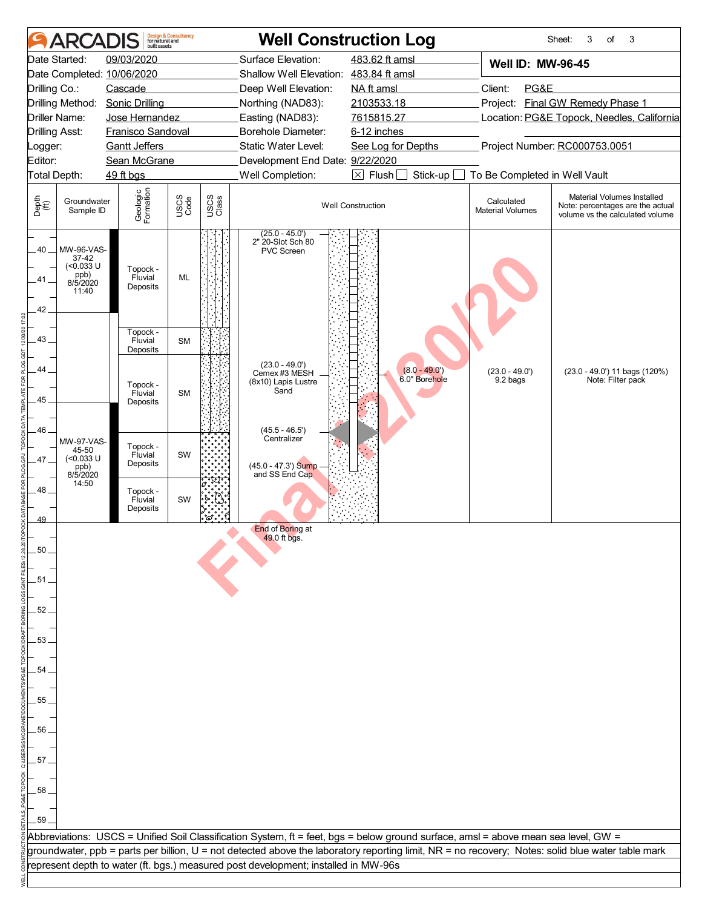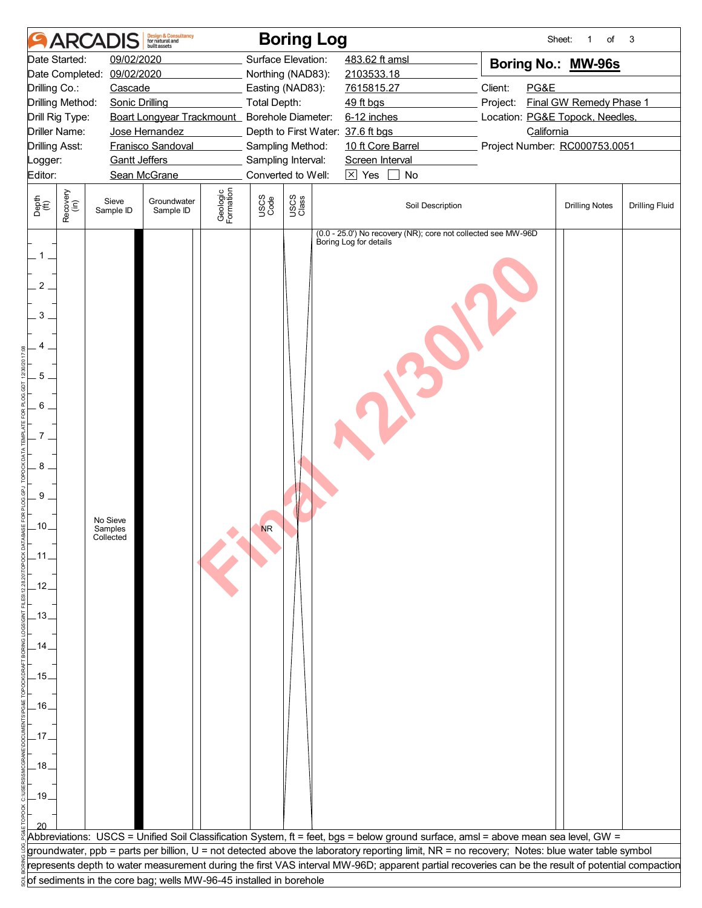|                                                                                                                                                               |                                                                                                           | <b>ARCADIS</b>                   | <b>Design &amp; Consultancy</b><br>for natural and<br>huilt assets |                       |                                        | <b>Boring Log</b>  |                        |                                                                                                                                                          |                                 | Sheet:<br>$\mathbf{1}$<br>of  | 3                     |  |
|---------------------------------------------------------------------------------------------------------------------------------------------------------------|-----------------------------------------------------------------------------------------------------------|----------------------------------|--------------------------------------------------------------------|-----------------------|----------------------------------------|--------------------|------------------------|----------------------------------------------------------------------------------------------------------------------------------------------------------|---------------------------------|-------------------------------|-----------------------|--|
| Date Started:                                                                                                                                                 |                                                                                                           | 09/02/2020                       |                                                                    |                       |                                        | Surface Elevation: | 483.62 ft amsl         |                                                                                                                                                          |                                 | Boring No.: MW-96s            |                       |  |
| Date Completed:<br>09/02/2020                                                                                                                                 |                                                                                                           |                                  |                                                                    |                       |                                        | Northing (NAD83):  | 2103533.18             |                                                                                                                                                          |                                 |                               |                       |  |
| Drilling Co.:                                                                                                                                                 |                                                                                                           | Cascade                          |                                                                    |                       |                                        | Easting (NAD83):   | 7615815.27             |                                                                                                                                                          | Client:<br>PG&E                 |                               |                       |  |
| Drilling Method:                                                                                                                                              |                                                                                                           | <b>Sonic Drilling</b>            |                                                                    |                       | Total Depth:                           |                    | 49 ft bgs              |                                                                                                                                                          | Project:                        | Final GW Remedy Phase 1       |                       |  |
|                                                                                                                                                               | Boart Longyear Trackmount Borehole Diameter:<br>Drill Rig Type:<br><b>Driller Name:</b><br>Jose Hernandez |                                  |                                                                    |                       |                                        |                    | 6-12 inches            |                                                                                                                                                          | Location: PG&E Topock, Needles, |                               |                       |  |
| Drilling Asst:                                                                                                                                                |                                                                                                           |                                  | Franisco Sandoval                                                  |                       | Depth to First Water: 37.6 ft bgs      |                    |                        | California                                                                                                                                               |                                 |                               |                       |  |
| Logger:                                                                                                                                                       |                                                                                                           | <b>Gantt Jeffers</b>             |                                                                    |                       | Sampling Method:<br>Sampling Interval: |                    |                        | 10 ft Core Barrel<br>Screen Interval                                                                                                                     |                                 | Project Number: RC000753.0051 |                       |  |
| Editor:                                                                                                                                                       |                                                                                                           |                                  | Sean McGrane                                                       |                       |                                        | Converted to Well: | $\boxtimes$ Yes        | No                                                                                                                                                       |                                 |                               |                       |  |
|                                                                                                                                                               |                                                                                                           |                                  |                                                                    |                       |                                        |                    |                        |                                                                                                                                                          |                                 |                               |                       |  |
| Depth<br>(ft)                                                                                                                                                 | Recovery<br>(in)                                                                                          | Sieve<br>Sample ID               | Groundwater<br>Sample ID                                           | Geologic<br>Formation | USCS<br>Code                           | USCS<br>Class      |                        | Soil Description                                                                                                                                         |                                 | <b>Drilling Notes</b>         | <b>Drilling Fluid</b> |  |
| $1$ .<br>$\overline{2}$<br>3<br>5 <sub>1</sub><br>6<br>7<br>8<br>9<br>.10.<br>$.11.$<br>$-12$<br>$-13-$<br>.14.<br>$-15.$<br>$-16.$<br>.17.<br>.18.<br>$-19.$ |                                                                                                           | No Sieve<br>Samples<br>Collected |                                                                    |                       | <b>NR</b>                              |                    | Boring Log for details | (0.0 - 25.0') No recovery (NR); core not collected see MW-96D                                                                                            |                                 |                               |                       |  |
|                                                                                                                                                               |                                                                                                           |                                  |                                                                    |                       |                                        |                    |                        | Abbreviations: USCS = Unified Soil Classification System, ft = feet, bgs = below ground surface, amsl = above mean sea level, GW =                       |                                 |                               |                       |  |
|                                                                                                                                                               |                                                                                                           |                                  |                                                                    |                       |                                        |                    |                        | groundwater, ppb = parts per billion, U = not detected above the laboratory reporting limit, NR = no recovery; Notes: blue water table symbol            |                                 |                               |                       |  |
|                                                                                                                                                               |                                                                                                           |                                  |                                                                    |                       |                                        |                    |                        | $\sf F$ epresents depth to water measurement during the first VAS interval MW-96D; apparent partial recoveries can be the result of potential compaction |                                 |                               |                       |  |
|                                                                                                                                                               |                                                                                                           |                                  | of sediments in the core bag; wells MW-96-45 installed in borehole |                       |                                        |                    |                        |                                                                                                                                                          |                                 |                               |                       |  |
|                                                                                                                                                               |                                                                                                           |                                  |                                                                    |                       |                                        |                    |                        |                                                                                                                                                          |                                 |                               |                       |  |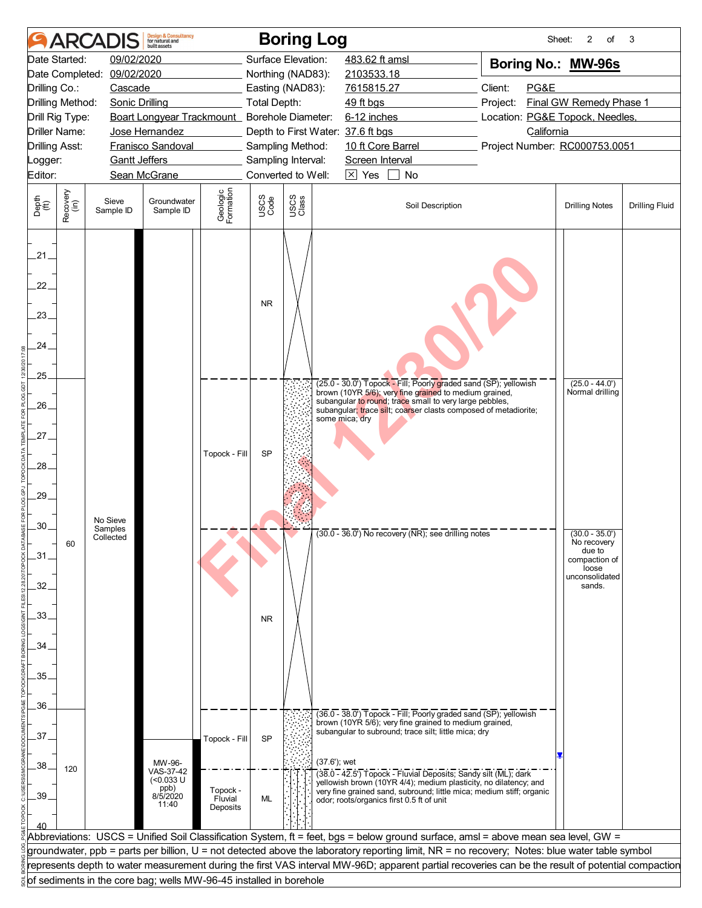|                                           |                      | <b>ARCADIS</b>                                                     | <b>Design &amp; Consultancy</b><br>for natural and<br>huilt assets |                       |                     | <b>Boring Log</b>                 |                                                                                                                                                                                      |                                 | 2<br>of<br>Sheet:                               | 3                     |
|-------------------------------------------|----------------------|--------------------------------------------------------------------|--------------------------------------------------------------------|-----------------------|---------------------|-----------------------------------|--------------------------------------------------------------------------------------------------------------------------------------------------------------------------------------|---------------------------------|-------------------------------------------------|-----------------------|
|                                           | Date Started:        | 09/02/2020                                                         |                                                                    |                       |                     | Surface Elevation:                | 483.62 ft amsl                                                                                                                                                                       | Boring No.: MW-96s              |                                                 |                       |
|                                           |                      | Date Completed: 09/02/2020                                         |                                                                    |                       |                     | Northing (NAD83):                 | 2103533.18                                                                                                                                                                           |                                 |                                                 |                       |
| Drilling Co.:                             |                      | Cascade                                                            |                                                                    |                       |                     | Easting (NAD83):                  | 7615815.27                                                                                                                                                                           | PG&E<br>Client:                 |                                                 |                       |
| Drilling Method:<br><b>Sonic Drilling</b> |                      |                                                                    |                                                                    |                       | <b>Total Depth:</b> |                                   | 49 ft bgs                                                                                                                                                                            | Project:                        | Final GW Remedy Phase 1                         |                       |
|                                           | Drill Rig Type:      |                                                                    | Boart Longyear Trackmount_ Borehole Diameter:                      |                       |                     |                                   | 6-12 inches                                                                                                                                                                          | Location: PG&E Topock, Needles, |                                                 |                       |
|                                           | <b>Driller Name:</b> |                                                                    | Jose Hernandez                                                     |                       |                     | Depth to First Water: 37.6 ft bgs |                                                                                                                                                                                      | California                      |                                                 |                       |
| <b>Drilling Asst:</b>                     |                      |                                                                    | Franisco Sandoval                                                  |                       |                     | Sampling Method:                  | 10 ft Core Barrel                                                                                                                                                                    | Project Number: RC000753.0051   |                                                 |                       |
| Logger:                                   |                      | <b>Gantt Jeffers</b>                                               |                                                                    |                       |                     | Sampling Interval:                | Screen Interval                                                                                                                                                                      |                                 |                                                 |                       |
| Editor:                                   |                      |                                                                    | Sean McGrane                                                       |                       |                     | Converted to Well:                | $\boxtimes$ Yes<br>No                                                                                                                                                                |                                 |                                                 |                       |
| Depth<br>$\widetilde{f(t)}$               | Recovery<br>(in)     | Sieve<br>Sample ID                                                 | Groundwater<br>Sample ID                                           | Geologic<br>Formation | USCS<br>Code        | USCS<br>Class                     | Soil Description                                                                                                                                                                     |                                 | <b>Drilling Notes</b>                           | <b>Drilling Fluid</b> |
| $.21-$<br>22.<br>.23.<br>24.              |                      |                                                                    |                                                                    |                       | <b>NR</b>           |                                   |                                                                                                                                                                                      |                                 |                                                 |                       |
| .25.                                      |                      |                                                                    |                                                                    |                       |                     |                                   | (25.0 - 30.0') Topock - Fill; Poorly graded sand (SP); yellowish                                                                                                                     |                                 | $(25.0 - 44.0')$                                |                       |
| $26-$                                     |                      |                                                                    |                                                                    |                       |                     |                                   | brown (10YR 5/6); very fine grained to medium grained,<br>subangular to round; trace small to very large pebbles,<br>subangular; trace silt; coarser clasts composed of metadiorite; |                                 | Normal drilling                                 |                       |
| .27_                                      |                      |                                                                    |                                                                    |                       |                     |                                   | some mica; dry                                                                                                                                                                       |                                 |                                                 |                       |
| 28.                                       |                      |                                                                    |                                                                    | Topock - Fill         | <b>SP</b>           |                                   |                                                                                                                                                                                      |                                 |                                                 |                       |
| .29.                                      |                      |                                                                    |                                                                    |                       |                     |                                   |                                                                                                                                                                                      |                                 |                                                 |                       |
| .30                                       |                      | No Sieve<br>Samples<br>Collected                                   |                                                                    |                       |                     |                                   | $(30.0 - 36.0)$ No recovery (NR); see drilling notes                                                                                                                                 |                                 | $(30.0 - 35.0')$                                |                       |
| .31.                                      | 60                   |                                                                    |                                                                    |                       |                     |                                   |                                                                                                                                                                                      |                                 | No recovery<br>due to<br>compaction of<br>loose |                       |
| 32.                                       |                      |                                                                    |                                                                    |                       |                     |                                   |                                                                                                                                                                                      |                                 | unconsolidated<br>sands.                        |                       |
| 33.                                       |                      |                                                                    |                                                                    |                       | <b>NR</b>           |                                   |                                                                                                                                                                                      |                                 |                                                 |                       |
| 34.                                       |                      |                                                                    |                                                                    |                       |                     |                                   |                                                                                                                                                                                      |                                 |                                                 |                       |
|                                           |                      |                                                                    |                                                                    |                       |                     |                                   |                                                                                                                                                                                      |                                 |                                                 |                       |
| 35.                                       |                      |                                                                    |                                                                    |                       |                     |                                   |                                                                                                                                                                                      |                                 |                                                 |                       |
| .36.                                      |                      |                                                                    |                                                                    |                       |                     |                                   |                                                                                                                                                                                      |                                 |                                                 |                       |
|                                           |                      |                                                                    |                                                                    |                       |                     |                                   | (36.0 - 38.0') Topock - Fill; Poorly graded sand (SP); yellowish<br>brown (10YR 5/6); very fine grained to medium grained,                                                           |                                 |                                                 |                       |
| 37.                                       |                      |                                                                    |                                                                    | Topock - Fill         | <b>SP</b>           |                                   | subangular to subround; trace silt; little mica; dry                                                                                                                                 |                                 |                                                 |                       |
|                                           |                      |                                                                    |                                                                    |                       |                     |                                   |                                                                                                                                                                                      |                                 |                                                 |                       |
| .38                                       | 120                  |                                                                    | MW-96-                                                             |                       |                     | $(37.6')$ ; wet                   |                                                                                                                                                                                      |                                 |                                                 |                       |
|                                           |                      |                                                                    | VAS-37-42<br>$(0.033 \cup$                                         |                       |                     |                                   | (38.0 - 42.5') Topock - Fluvial Deposits; Sandy silt (ML); dark<br>yellowish brown (10YR 4/4); medium plasticity, no dilatency; and                                                  |                                 |                                                 |                       |
| .39.                                      |                      |                                                                    | ppb)<br>8/5/2020                                                   | Topock -              |                     |                                   | very fine grained sand, subround; little mica; medium stiff; organic                                                                                                                 |                                 |                                                 |                       |
|                                           |                      |                                                                    | 11:40                                                              | Fluvial<br>Deposits   | ML                  |                                   | odor; roots/organics first 0.5 ft of unit                                                                                                                                            |                                 |                                                 |                       |
|                                           |                      |                                                                    |                                                                    |                       |                     |                                   |                                                                                                                                                                                      |                                 |                                                 |                       |
|                                           |                      |                                                                    |                                                                    |                       |                     |                                   | Abbreviations: USCS = Unified Soil Classification System, ft = feet, bgs = below ground surface, amsl = above mean sea level, GW =                                                   |                                 |                                                 |                       |
|                                           |                      |                                                                    |                                                                    |                       |                     |                                   | groundwater, ppb = parts per billion, U = not detected above the laboratory reporting limit, NR = no recovery; Notes: blue water table symbol                                        |                                 |                                                 |                       |
|                                           |                      |                                                                    |                                                                    |                       |                     |                                   | represents depth to water measurement during the first VAS interval MW-96D; apparent partial recoveries can be the result of potential compaction                                    |                                 |                                                 |                       |
|                                           |                      | of sediments in the core bag; wells MW-96-45 installed in borehole |                                                                    |                       |                     |                                   |                                                                                                                                                                                      |                                 |                                                 |                       |
|                                           |                      |                                                                    |                                                                    |                       |                     |                                   |                                                                                                                                                                                      |                                 |                                                 |                       |